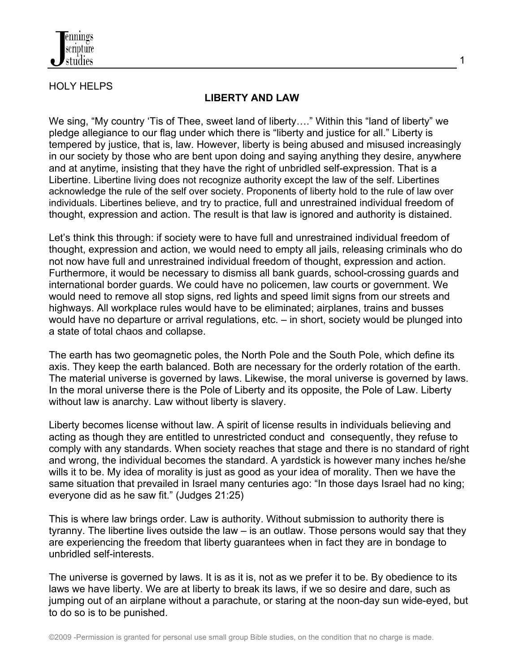

## HOLY HELPS

## **LIBERTY AND LAW**

We sing, "My country 'Tis of Thee, sweet land of liberty...." Within this "land of liberty" we pledge allegiance to our flag under which there is "liberty and justice for all." Liberty is tempered by justice, that is, law. However, liberty is being abused and misused increasingly in our society by those who are bent upon doing and saying anything they desire, anywhere and at anytime, insisting that they have the right of unbridled self-expression. That is a Libertine. Libertine living does not recognize authority except the law of the self. Libertines acknowledge the rule of the self over society. Proponents of liberty hold to the rule of law over individuals. Libertines believe, and try to practice, full and unrestrained individual freedom of thought, expression and action. The result is that law is ignored and authority is distained.

Let's think this through: if society were to have full and unrestrained individual freedom of thought, expression and action, we would need to empty all jails, releasing criminals who do not now have full and unrestrained individual freedom of thought, expression and action. Furthermore, it would be necessary to dismiss all bank guards, school-crossing guards and international border guards. We could have no policemen, law courts or government. We would need to remove all stop signs, red lights and speed limit signs from our streets and highways. All workplace rules would have to be eliminated; airplanes, trains and busses would have no departure or arrival regulations, etc. – in short, society would be plunged into a state of total chaos and collapse.

The earth has two geomagnetic poles, the North Pole and the South Pole, which define its axis. They keep the earth balanced. Both are necessary for the orderly rotation of the earth. The material universe is governed by laws. Likewise, the moral universe is governed by laws. In the moral universe there is the Pole of Liberty and its opposite, the Pole of Law. Liberty without law is anarchy. Law without liberty is slavery.

Liberty becomes license without law. A spirit of license results in individuals believing and acting as though they are entitled to unrestricted conduct and consequently, they refuse to comply with any standards. When society reaches that stage and there is no standard of right and wrong, the individual becomes the standard. A yardstick is however many inches he/she wills it to be. My idea of morality is just as good as your idea of morality. Then we have the same situation that prevailed in Israel many centuries ago: "In those days Israel had no king; everyone did as he saw fit." (Judges 21:25)

This is where law brings order. Law is authority. Without submission to authority there is tyranny. The libertine lives outside the law – is an outlaw. Those persons would say that they are experiencing the freedom that liberty guarantees when in fact they are in bondage to unbridled self-interests.

The universe is governed by laws. It is as it is, not as we prefer it to be. By obedience to its laws we have liberty. We are at liberty to break its laws, if we so desire and dare, such as jumping out of an airplane without a parachute, or staring at the noon-day sun wide-eyed, but to do so is to be punished.